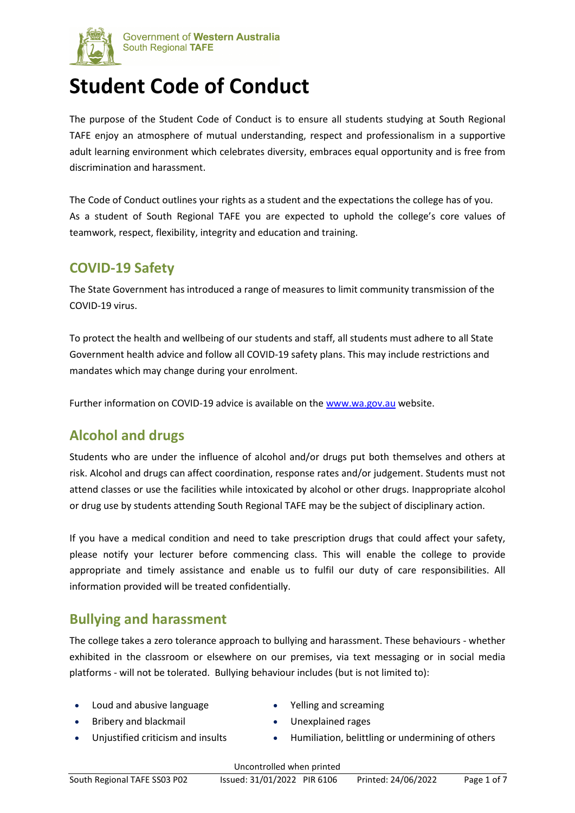

# **Student Code of Conduct**

The purpose of the Student Code of Conduct is to ensure all students studying at South Regional TAFE enjoy an atmosphere of mutual understanding, respect and professionalism in a supportive adult learning environment which celebrates diversity, embraces equal opportunity and is free from discrimination and harassment.

The Code of Conduct outlines your rights as a student and the expectations the college has of you. As a student of South Regional TAFE you are expected to uphold the college's core values of teamwork, respect, flexibility, integrity and education and training.

#### **COVID-19 Safety**

The State Government has introduced a range of measures to limit community transmission of the COVID-19 virus.

To protect the health and wellbeing of our students and staff, all students must adhere to all State Government health advice and follow all COVID-19 safety plans. This may include restrictions and mandates which may change during your enrolment.

Further information on COVID-19 advice is available on the [www.wa.gov.au](http://www.wa.gov.au/) website.

# **Alcohol and drugs**

Students who are under the influence of alcohol and/or drugs put both themselves and others at risk. Alcohol and drugs can affect coordination, response rates and/or judgement. Students must not attend classes or use the facilities while intoxicated by alcohol or other drugs. Inappropriate alcohol or drug use by students attending South Regional TAFE may be the subject of disciplinary action.

If you have a medical condition and need to take prescription drugs that could affect your safety, please notify your lecturer before commencing class. This will enable the college to provide appropriate and timely assistance and enable us to fulfil our duty of care responsibilities. All information provided will be treated confidentially.

### **Bullying and harassment**

The college takes a zero tolerance approach to bullying and harassment. These behaviours - whether exhibited in the classroom or elsewhere on our premises, via text messaging or in social media platforms - will not be tolerated. Bullying behaviour includes (but is not limited to):

- Loud and abusive language Yelling and screaming
	-

- 
- 
- Bribery and blackmail Unexplained rages
- Unjustified criticism and insults Humiliation, belittling or undermining of others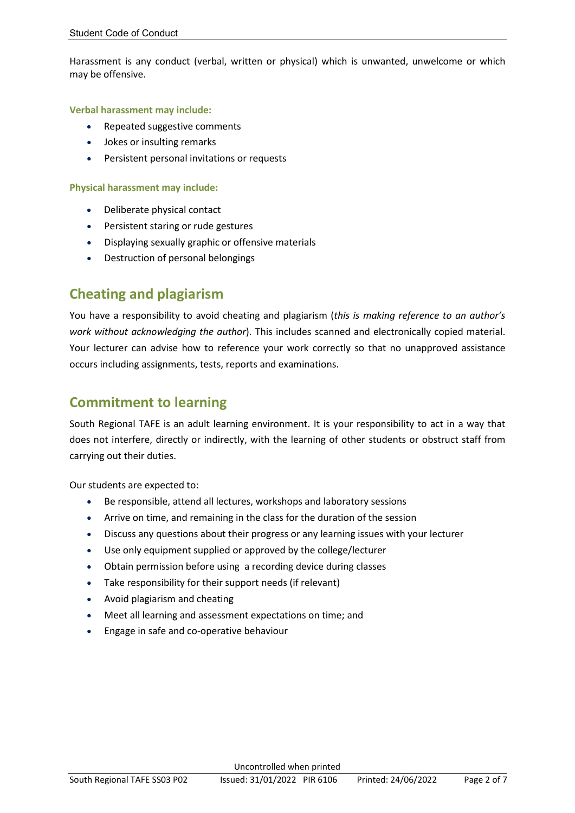Harassment is any conduct (verbal, written or physical) which is unwanted, unwelcome or which may be offensive.

#### **Verbal harassment may include:**

- Repeated suggestive comments
- Jokes or insulting remarks
- Persistent personal invitations or requests

#### **Physical harassment may include:**

- Deliberate physical contact
- Persistent staring or rude gestures
- Displaying sexually graphic or offensive materials
- Destruction of personal belongings

#### **Cheating and plagiarism**

You have a responsibility to avoid cheating and plagiarism (*this is making reference to an author's work without acknowledging the author*). This includes scanned and electronically copied material. Your lecturer can advise how to reference your work correctly so that no unapproved assistance occurs including assignments, tests, reports and examinations.

#### **Commitment to learning**

South Regional TAFE is an adult learning environment. It is your responsibility to act in a way that does not interfere, directly or indirectly, with the learning of other students or obstruct staff from carrying out their duties.

Our students are expected to:

- Be responsible, attend all lectures, workshops and laboratory sessions
- Arrive on time, and remaining in the class for the duration of the session
- Discuss any questions about their progress or any learning issues with your lecturer
- Use only equipment supplied or approved by the college/lecturer
- Obtain permission before using a recording device during classes
- Take responsibility for their support needs (if relevant)
- Avoid plagiarism and cheating
- Meet all learning and assessment expectations on time; and
- Engage in safe and co-operative behaviour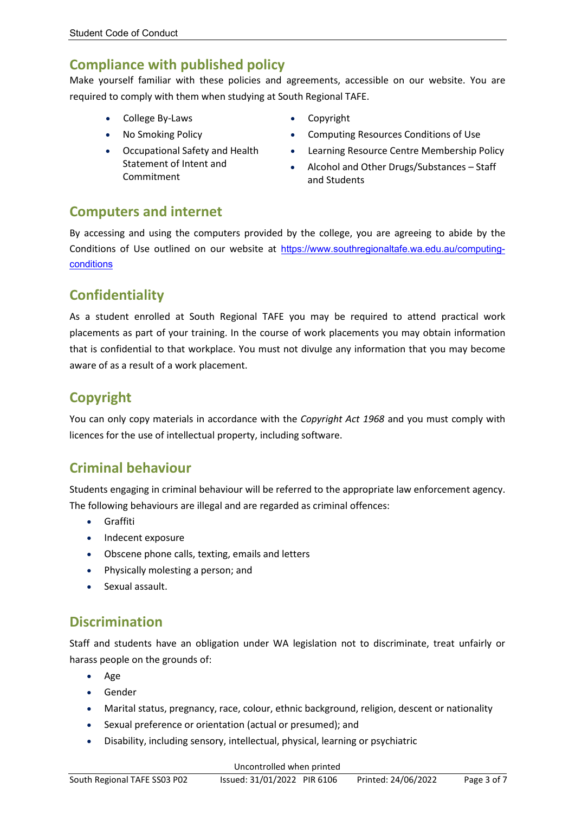### **Compliance with published policy**

Make yourself familiar with these policies and agreements, accessible on our website. You are required to comply with them when studying at South Regional TAFE.

- College By-Laws Copyright
- 
- Occupational Safety and Health Statement of Intent and Commitment
- 
- No Smoking Policy Computing Resources Conditions of Use
	- Learning Resource Centre Membership Policy
	- Alcohol and Other Drugs/Substances Staff and Students

#### **Computers and internet**

By accessing and using the computers provided by the college, you are agreeing to abide by the Conditions of Use outlined on our website at [https://www.southregionaltafe.wa.edu.au/computing](https://www.southregionaltafe.wa.edu.au/computing-conditions)[conditions](https://www.southregionaltafe.wa.edu.au/computing-conditions)

### **Confidentiality**

As a student enrolled at South Regional TAFE you may be required to attend practical work placements as part of your training. In the course of work placements you may obtain information that is confidential to that workplace. You must not divulge any information that you may become aware of as a result of a work placement.

### **Copyright**

You can only copy materials in accordance with the *Copyright Act 1968* and you must comply with licences for the use of intellectual property, including software.

### **Criminal behaviour**

Students engaging in criminal behaviour will be referred to the appropriate law enforcement agency. The following behaviours are illegal and are regarded as criminal offences:

- Graffiti
- Indecent exposure
- Obscene phone calls, texting, emails and letters
- Physically molesting a person; and
- Sexual assault.

### **Discrimination**

Staff and students have an obligation under WA legislation not to discriminate, treat unfairly or harass people on the grounds of:

- Age
- Gender
- Marital status, pregnancy, race, colour, ethnic background, religion, descent or nationality
- Sexual preference or orientation (actual or presumed); and
- Disability, including sensory, intellectual, physical, learning or psychiatric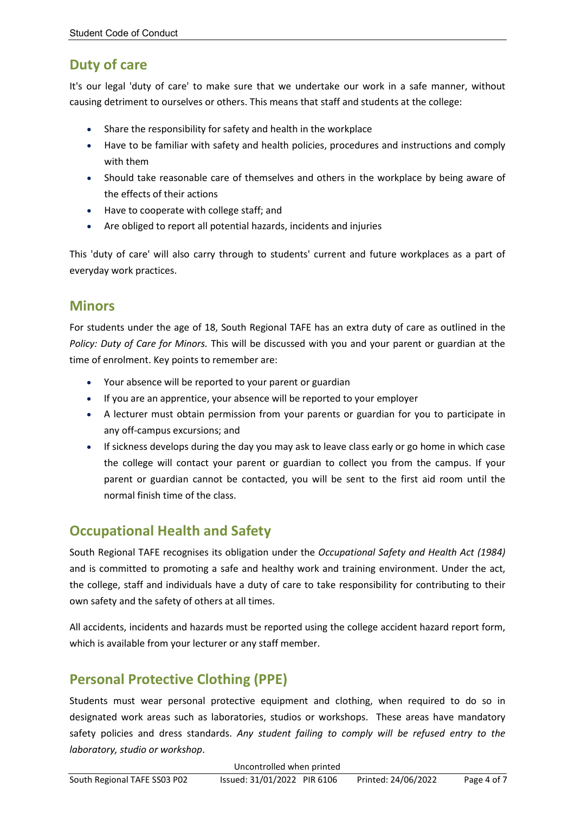### **Duty of care**

It's our legal 'duty of care' to make sure that we undertake our work in a safe manner, without causing detriment to ourselves or others. This means that staff and students at the college:

- Share the responsibility for safety and health in the workplace
- Have to be familiar with safety and health policies, procedures and instructions and comply with them
- Should take reasonable care of themselves and others in the workplace by being aware of the effects of their actions
- Have to cooperate with college staff; and
- Are obliged to report all potential hazards, incidents and injuries

This 'duty of care' will also carry through to students' current and future workplaces as a part of everyday work practices.

#### **Minors**

For students under the age of 18, South Regional TAFE has an extra duty of care as outlined in the *Policy: Duty of Care for Minors.* This will be discussed with you and your parent or guardian at the time of enrolment. Key points to remember are:

- Your absence will be reported to your parent or guardian
- If you are an apprentice, your absence will be reported to your employer
- A lecturer must obtain permission from your parents or guardian for you to participate in any off-campus excursions; and
- If sickness develops during the day you may ask to leave class early or go home in which case the college will contact your parent or guardian to collect you from the campus. If your parent or guardian cannot be contacted, you will be sent to the first aid room until the normal finish time of the class.

### **Occupational Health and Safety**

South Regional TAFE recognises its obligation under the *Occupational Safety and Health Act (1984)* and is committed to promoting a safe and healthy work and training environment. Under the act, the college, staff and individuals have a duty of care to take responsibility for contributing to their own safety and the safety of others at all times.

All accidents, incidents and hazards must be reported using the college accident hazard report form, which is available from your lecturer or any staff member.

# **Personal Protective Clothing (PPE)**

Students must wear personal protective equipment and clothing, when required to do so in designated work areas such as laboratories, studios or workshops. These areas have mandatory safety policies and dress standards. *Any student failing to comply will be refused entry to the laboratory, studio or workshop*.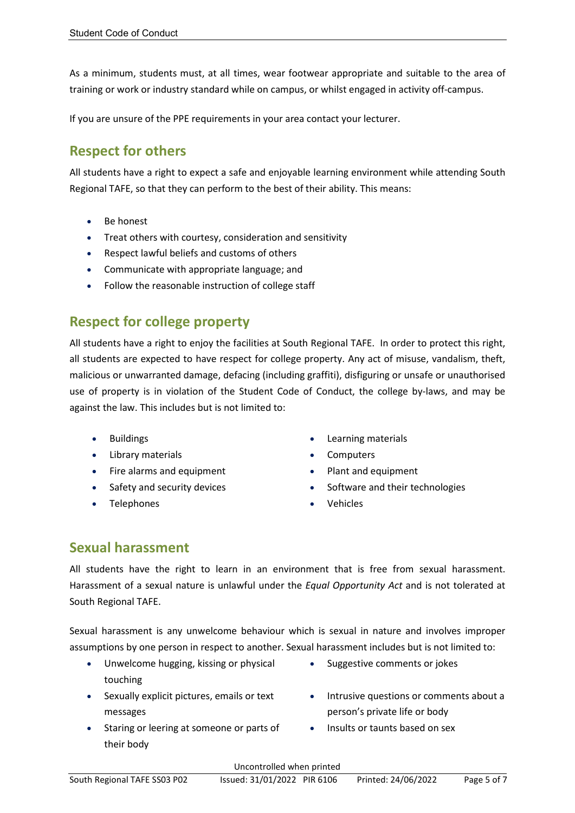As a minimum, students must, at all times, wear footwear appropriate and suitable to the area of training or work or industry standard while on campus, or whilst engaged in activity off-campus.

If you are unsure of the PPE requirements in your area contact your lecturer.

### **Respect for others**

All students have a right to expect a safe and enjoyable learning environment while attending South Regional TAFE, so that they can perform to the best of their ability. This means:

- Be honest
- Treat others with courtesy, consideration and sensitivity
- Respect lawful beliefs and customs of others
- Communicate with appropriate language; and
- Follow the reasonable instruction of college staff

### **Respect for college property**

All students have a right to enjoy the facilities at South Regional TAFE. In order to protect this right, all students are expected to have respect for college property. Any act of misuse, vandalism, theft, malicious or unwarranted damage, defacing (including graffiti), disfiguring or unsafe or unauthorised use of property is in violation of the Student Code of Conduct, the college by-laws, and may be against the law. This includes but is not limited to:

- 
- Library materials  **Computers**
- Fire alarms and equipment **•** Plant and equipment
- 
- 
- Buildings Learning materials
	-
	-
	- Safety and security devices **•** Software and their technologies
	- Telephones Vehicles

### **Sexual harassment**

All students have the right to learn in an environment that is free from sexual harassment. Harassment of a sexual nature is unlawful under the *Equal Opportunity Act* and is not tolerated at South Regional TAFE.

Sexual harassment is any unwelcome behaviour which is sexual in nature and involves improper assumptions by one person in respect to another. Sexual harassment includes but is not limited to:

- Unwelcome hugging, kissing or physical touching
- Sexually explicit pictures, emails or text messages
- Staring or leering at someone or parts of their body
- Suggestive comments or jokes
- Intrusive questions or comments about a person's private life or body
- Insults or taunts based on sex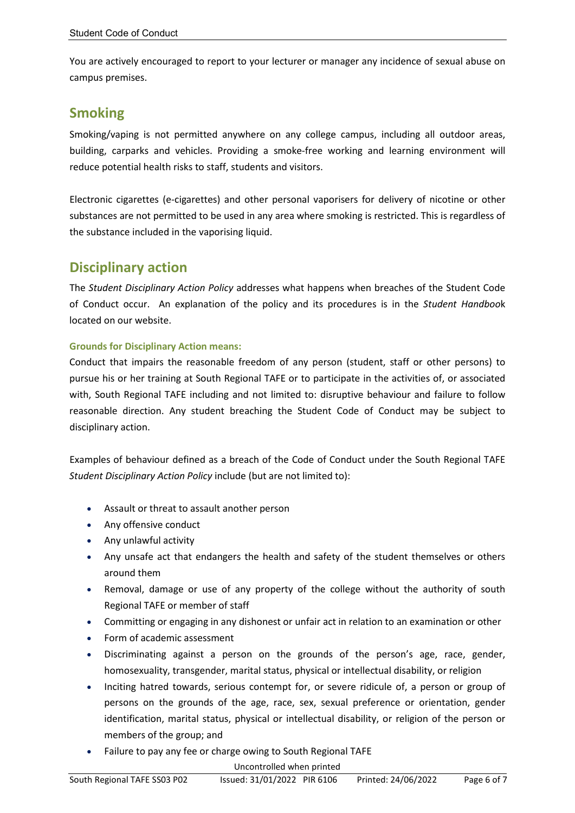You are actively encouraged to report to your lecturer or manager any incidence of sexual abuse on campus premises.

#### **Smoking**

Smoking/vaping is not permitted anywhere on any college campus, including all outdoor areas, building, carparks and vehicles. Providing a smoke-free working and learning environment will reduce potential health risks to staff, students and visitors.

Electronic cigarettes (e-cigarettes) and other personal vaporisers for delivery of nicotine or other substances are not permitted to be used in any area where smoking is restricted. This is regardless of the substance included in the vaporising liquid.

#### **Disciplinary action**

The *Student Disciplinary Action Policy* addresses what happens when breaches of the Student Code of Conduct occur. An explanation of the policy and its procedures is in the *Student Handboo*k located on our website.

#### **Grounds for Disciplinary Action means:**

Conduct that impairs the reasonable freedom of any person (student, staff or other persons) to pursue his or her training at South Regional TAFE or to participate in the activities of, or associated with, South Regional TAFE including and not limited to: disruptive behaviour and failure to follow reasonable direction. Any student breaching the Student Code of Conduct may be subject to disciplinary action.

Examples of behaviour defined as a breach of the Code of Conduct under the South Regional TAFE *Student Disciplinary Action Policy* include (but are not limited to):

- Assault or threat to assault another person
- Any offensive conduct
- Any unlawful activity
- Any unsafe act that endangers the health and safety of the student themselves or others around them
- Removal, damage or use of any property of the college without the authority of south Regional TAFE or member of staff
- Committing or engaging in any dishonest or unfair act in relation to an examination or other
- Form of academic assessment
- Discriminating against a person on the grounds of the person's age, race, gender, homosexuality, transgender, marital status, physical or intellectual disability, or religion
- Inciting hatred towards, serious contempt for, or severe ridicule of, a person or group of persons on the grounds of the age, race, sex, sexual preference or orientation, gender identification, marital status, physical or intellectual disability, or religion of the person or members of the group; and
- Failure to pay any fee or charge owing to South Regional TAFE